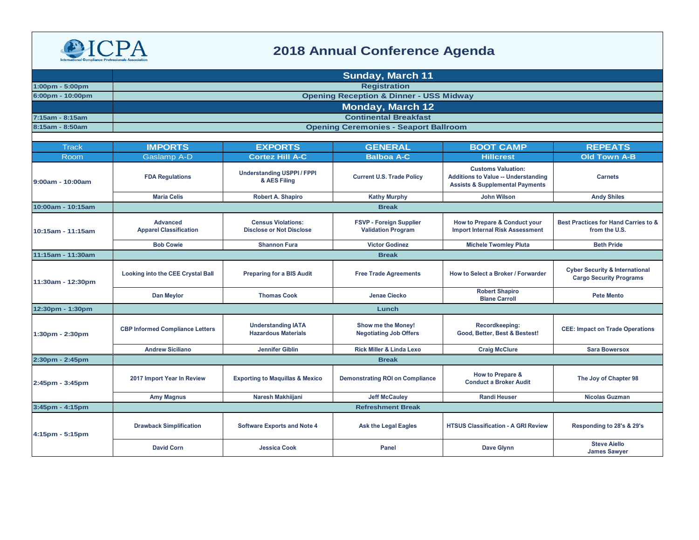

## **2018 Annual Conference Agenda**

|                                   | <b>Sunday, March 11</b>                          |                                                              |                                                             |                                                                                                                       |                                                                             |  |  |
|-----------------------------------|--------------------------------------------------|--------------------------------------------------------------|-------------------------------------------------------------|-----------------------------------------------------------------------------------------------------------------------|-----------------------------------------------------------------------------|--|--|
| $1:00 \text{pm} - 5:00 \text{pm}$ |                                                  | <b>Registration</b>                                          |                                                             |                                                                                                                       |                                                                             |  |  |
| 6:00pm - 10:00pm                  |                                                  |                                                              | <b>Opening Reception &amp; Dinner - USS Midway</b>          |                                                                                                                       |                                                                             |  |  |
|                                   | <b>Monday, March 12</b>                          |                                                              |                                                             |                                                                                                                       |                                                                             |  |  |
| 7:15am - 8:15am                   |                                                  |                                                              | <b>Continental Breakfast</b>                                |                                                                                                                       |                                                                             |  |  |
| 8:15am - 8:50am                   | <b>Opening Ceremonies - Seaport Ballroom</b>     |                                                              |                                                             |                                                                                                                       |                                                                             |  |  |
|                                   |                                                  |                                                              |                                                             |                                                                                                                       |                                                                             |  |  |
| <b>Track</b>                      | <b>IMPORTS</b>                                   | <b>EXPORTS</b>                                               | <b>GENERAL</b>                                              | <b>BOOT CAMP</b>                                                                                                      | <b>REPEATS</b>                                                              |  |  |
| Room                              | <b>Gaslamp A-D</b>                               | <b>Cortez Hill A-C</b>                                       | <b>Balboa A-C</b>                                           | <b>Hillcrest</b>                                                                                                      | <b>Old Town A-B</b>                                                         |  |  |
| 9:00am - 10:00am                  | <b>FDA Regulations</b>                           | <b>Understanding USPPI/FPPI</b><br>& AES Filing              | <b>Current U.S. Trade Policy</b>                            | <b>Customs Valuation:</b><br><b>Additions to Value -- Understanding</b><br><b>Assists &amp; Supplemental Payments</b> | <b>Carnets</b>                                                              |  |  |
|                                   | <b>Maria Celis</b>                               | <b>Robert A. Shapiro</b>                                     | <b>Kathy Murphy</b>                                         | <b>John Wilson</b>                                                                                                    | <b>Andy Shiles</b>                                                          |  |  |
| 10:00am - 10:15am                 |                                                  |                                                              | <b>Break</b>                                                |                                                                                                                       |                                                                             |  |  |
| 10:15am - 11:15am                 | <b>Advanced</b><br><b>Apparel Classification</b> | <b>Census Violations:</b><br><b>Disclose or Not Disclose</b> | <b>FSVP - Foreign Supplier</b><br><b>Validation Program</b> | How to Prepare & Conduct your<br><b>Import Internal Risk Assessment</b>                                               | Best Practices for Hand Carries to &<br>from the U.S.                       |  |  |
|                                   | <b>Bob Cowie</b>                                 | <b>Shannon Fura</b>                                          | <b>Victor Godinez</b>                                       | <b>Michele Twomley Pluta</b>                                                                                          | <b>Beth Pride</b>                                                           |  |  |
| 11:15am - 11:30am                 |                                                  |                                                              | <b>Break</b>                                                |                                                                                                                       |                                                                             |  |  |
| 11:30am - 12:30pm                 | <b>Looking into the CEE Crystal Ball</b>         | <b>Preparing for a BIS Audit</b>                             | <b>Free Trade Agreements</b>                                | How to Select a Broker / Forwarder                                                                                    | <b>Cyber Security &amp; International</b><br><b>Cargo Security Programs</b> |  |  |
|                                   | <b>Dan Meylor</b>                                | <b>Thomas Cook</b>                                           | Jenae Ciecko                                                | <b>Robert Shapiro</b><br><b>Blane Carroll</b>                                                                         | <b>Pete Mento</b>                                                           |  |  |
| 12:30pm - 1:30pm                  | Lunch                                            |                                                              |                                                             |                                                                                                                       |                                                                             |  |  |
| $1:30pm - 2:30pm$                 | <b>CBP Informed Compliance Letters</b>           | <b>Understanding IATA</b><br><b>Hazardous Materials</b>      | Show me the Money!<br><b>Negotiating Job Offers</b>         | Recordkeeping:<br>Good, Better, Best & Bestest!                                                                       | <b>CEE: Impact on Trade Operations</b>                                      |  |  |
|                                   | <b>Andrew Siciliano</b>                          | <b>Jennifer Giblin</b>                                       | <b>Rick Miller &amp; Linda Lexo</b>                         | <b>Craig McClure</b>                                                                                                  | <b>Sara Bowersox</b>                                                        |  |  |
| 2:30pm - 2:45pm                   |                                                  |                                                              | <b>Break</b>                                                |                                                                                                                       |                                                                             |  |  |
| 2:45pm - 3:45pm                   | 2017 Import Year In Review                       | <b>Exporting to Maquillas &amp; Mexico</b>                   | <b>Demonstrating ROI on Compliance</b>                      | How to Prepare &<br><b>Conduct a Broker Audit</b>                                                                     | The Joy of Chapter 98                                                       |  |  |
|                                   | <b>Amy Magnus</b>                                | Naresh Makhiijani                                            | <b>Jeff McCauley</b>                                        | <b>Randi Heuser</b>                                                                                                   | <b>Nicolas Guzman</b>                                                       |  |  |
| 3:45pm - 4:15pm                   |                                                  |                                                              | <b>Refreshment Break</b>                                    |                                                                                                                       |                                                                             |  |  |
| 4:15pm - 5:15pm                   | <b>Drawback Simplification</b>                   | <b>Software Exports and Note 4</b>                           | <b>Ask the Legal Eagles</b>                                 | <b>HTSUS Classification - A GRI Review</b>                                                                            | Responding to 28's & 29's                                                   |  |  |
|                                   | <b>David Corn</b>                                | <b>Jessica Cook</b>                                          | Panel                                                       | Dave Glynn                                                                                                            | <b>Steve Aiello</b><br><b>James Sawyer</b>                                  |  |  |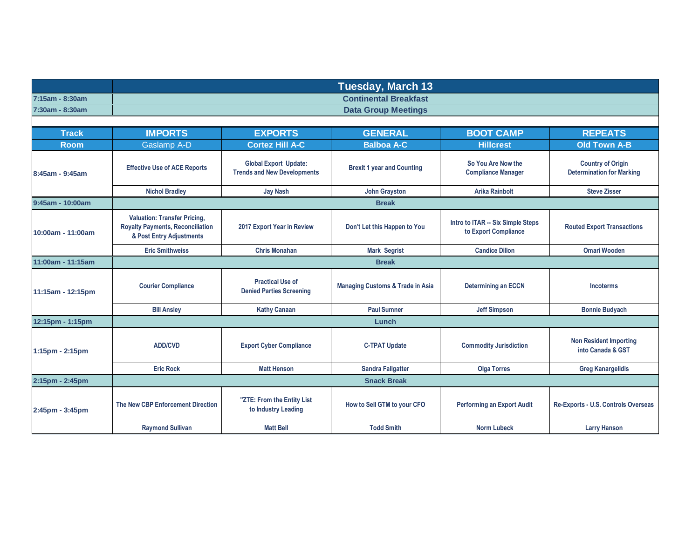|                 | Tuesday, March 13            |
|-----------------|------------------------------|
| 7:15am - 8:30am | <b>Continental Breakfast</b> |
| 7:30am - 8:30am | <b>Data Group Meetings</b>   |

| <b>Track</b>      | <b>IMPORTS</b>                                                                                             | <b>EXPORTS</b>                                                     | <b>GENERAL</b>                              | <b>BOOT CAMP</b>                                          | <b>REPEATS</b>                                               |  |
|-------------------|------------------------------------------------------------------------------------------------------------|--------------------------------------------------------------------|---------------------------------------------|-----------------------------------------------------------|--------------------------------------------------------------|--|
| <b>Room</b>       | <b>Gaslamp A-D</b>                                                                                         | <b>Cortez Hill A-C</b>                                             | <b>Balboa A-C</b>                           | <b>Hillcrest</b>                                          | <b>Old Town A-B</b>                                          |  |
| 8:45am - 9:45am   | <b>Effective Use of ACE Reports</b>                                                                        | <b>Global Export Update:</b><br><b>Trends and New Developments</b> | <b>Brexit 1 year and Counting</b>           | So You Are Now the<br><b>Compliance Manager</b>           | <b>Country of Origin</b><br><b>Determination for Marking</b> |  |
|                   | <b>Nichol Bradley</b>                                                                                      | <b>Jay Nash</b>                                                    | <b>John Grayston</b>                        | <b>Arika Rainbolt</b>                                     | <b>Steve Zisser</b>                                          |  |
| 9:45am - 10:00am  |                                                                                                            |                                                                    | <b>Break</b>                                |                                                           |                                                              |  |
| 10:00am - 11:00am | <b>Valuation: Transfer Pricing,</b><br><b>Royalty Payments, Reconciliation</b><br>& Post Entry Adjustments | 2017 Export Year in Review                                         | Don't Let this Happen to You                | Intro to ITAR -- Six Simple Steps<br>to Export Compliance | <b>Routed Export Transactions</b>                            |  |
|                   | <b>Eric Smithweiss</b>                                                                                     | <b>Chris Monahan</b>                                               | <b>Mark Segrist</b>                         | <b>Candice Dillon</b>                                     | <b>Omari Wooden</b>                                          |  |
| 11:00am - 11:15am | <b>Break</b>                                                                                               |                                                                    |                                             |                                                           |                                                              |  |
| 11:15am - 12:15pm | <b>Courier Compliance</b>                                                                                  | <b>Practical Use of</b><br><b>Denied Parties Screening</b>         | <b>Managing Customs &amp; Trade in Asia</b> | <b>Determining an ECCN</b>                                | <b>Incoterms</b>                                             |  |
|                   | <b>Bill Ansley</b>                                                                                         | <b>Kathy Canaan</b>                                                | <b>Paul Sumner</b>                          | <b>Jeff Simpson</b>                                       | <b>Bonnie Budyach</b>                                        |  |
| 12:15pm - 1:15pm  | Lunch                                                                                                      |                                                                    |                                             |                                                           |                                                              |  |
| 1:15pm - 2:15pm   | <b>ADD/CVD</b>                                                                                             | <b>Export Cyber Compliance</b>                                     | <b>C-TPAT Update</b>                        | <b>Commodity Jurisdiction</b>                             | <b>Non Resident Importing</b><br>into Canada & GST           |  |
|                   | <b>Eric Rock</b>                                                                                           | <b>Matt Henson</b>                                                 | <b>Sandra Fallgatter</b>                    | <b>Olga Torres</b>                                        | <b>Greg Kanargelidis</b>                                     |  |
| 2:15pm - 2:45pm   | <b>Snack Break</b>                                                                                         |                                                                    |                                             |                                                           |                                                              |  |
| 2:45pm - 3:45pm   | The New CBP Enforcement Direction                                                                          | "ZTE: From the Entity List<br>to Industry Leading                  | How to Sell GTM to your CFO                 | <b>Performing an Export Audit</b>                         | Re-Exports - U.S. Controls Overseas                          |  |
|                   | <b>Raymond Sullivan</b>                                                                                    | <b>Matt Bell</b>                                                   | <b>Todd Smith</b>                           | <b>Norm Lubeck</b>                                        | <b>Larry Hanson</b>                                          |  |